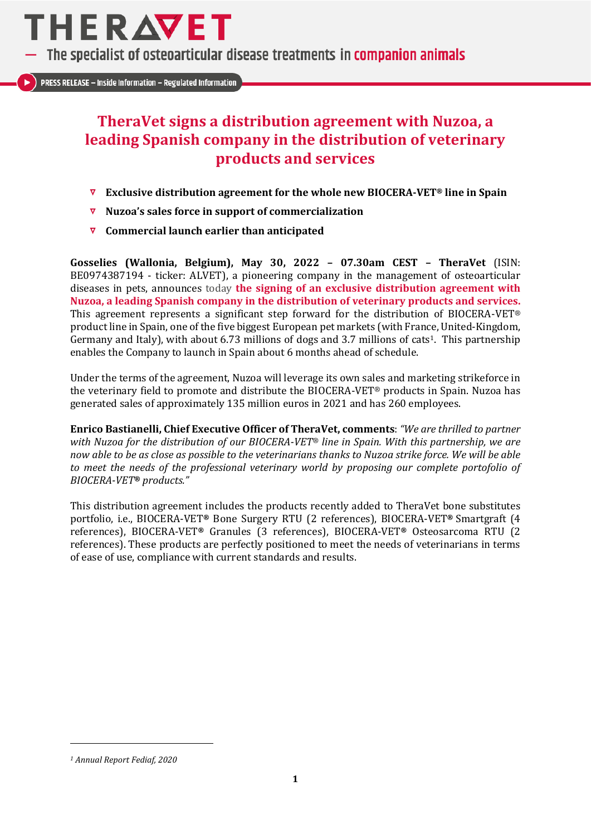

The specialist of osteoarticular disease treatments in companion animals

**PRESS RELEASE - Inside Information - Regulated Information** 

# **TheraVet signs a distribution agreement with Nuzoa, a leading Spanish company in the distribution of veterinary products and services**

- **Exclusive distribution agreement for the whole new BIOCERA-VET® line in Spain**
- **Nuzoa's sales force in support of commercialization**
- **Commercial launch earlier than anticipated**

**Gosselies (Wallonia, Belgium), May 30, 2022 – 07.30am CEST – TheraVet** (ISIN: BE0974387194 - ticker: ALVET), a pioneering company in the management of osteoarticular diseases in pets, announces today **the signing of an exclusive distribution agreement with Nuzoa, a leading Spanish company in the distribution of veterinary products and services.** This agreement represents a significant step forward for the distribution of BIOCERA-VET® product line in Spain, one of the five biggest European pet markets (with France, United-Kingdom, Germany and Italy), with about 6.73 millions of dogs and 3.7 millions of cats<sup>1</sup>. This partnership enables the Company to launch in Spain about 6 months ahead of schedule.

Under the terms of the agreement, Nuzoa will leverage its own sales and marketing strikeforce in the veterinary field to promote and distribute the BIOCERA-VET® products in Spain. Nuzoa has generated sales of approximately 135 million euros in 2021 and has 260 employees.

**Enrico Bastianelli, Chief Executive Officer of TheraVet, comments**: *"We are thrilled to partner with Nuzoa for the distribution of our BIOCERA-VET® line in Spain. With this partnership, we are now able to be as close as possible to the veterinarians thanks to Nuzoa strike force. We will be able to meet the needs of the professional veterinary world by proposing our complete portofolio of BIOCERA-VET® products."*

This distribution agreement includes the products recently added to TheraVet bone substitutes portfolio, i.e., BIOCERA-VET**®** Bone Surgery RTU (2 references), BIOCERA-VET**®** Smartgraft (4 references), BIOCERA-VET**®** Granules (3 references), BIOCERA-VET**®** Osteosarcoma RTU (2 references). These products are perfectly positioned to meet the needs of veterinarians in terms of ease of use, compliance with current standards and results.

*<sup>1</sup> Annual Report Fediaf, 2020*